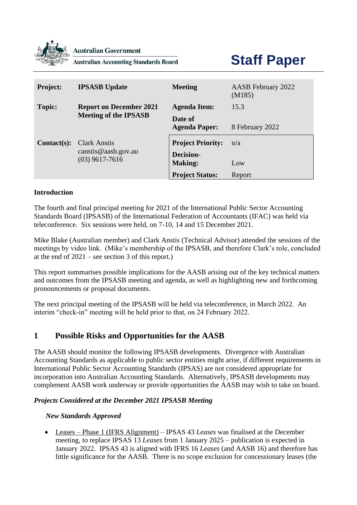

**Australian Government** 

**Australian Accounting Standards Board** 

# **Staff Paper**

| <b>Project:</b> | <b>IPSASB</b> Update                                                  | <b>Meeting</b>                                                 | AASB February 2022<br>(M185) |
|-----------------|-----------------------------------------------------------------------|----------------------------------------------------------------|------------------------------|
| <b>Topic:</b>   | <b>Report on December 2021</b><br><b>Meeting of the IPSASB</b>        | <b>Agenda Item:</b>                                            | 15.3                         |
|                 |                                                                       | Date of<br><b>Agenda Paper:</b>                                | 8 February 2022              |
| $Context(s):$   | <b>Clark Anstis</b><br>$c$ canst is @ aasb.gov.au<br>$(03)$ 9617-7616 | <b>Project Priority:</b><br><b>Decision-</b><br><b>Making:</b> | n/a<br>Low                   |
|                 |                                                                       | <b>Project Status:</b>                                         | Report                       |

#### **Introduction**

The fourth and final principal meeting for 2021 of the International Public Sector Accounting Standards Board (IPSASB) of the International Federation of Accountants (IFAC) was held via teleconference. Six sessions were held, on 7-10, 14 and 15 December 2021.

Mike Blake (Australian member) and Clark Anstis (Technical Advisor) attended the sessions of the meetings by video link. (Mike's membership of the IPSASB, and therefore Clark's role, concluded at the end of 2021 – see section 3 of this report.)

This report summarises possible implications for the AASB arising out of the key technical matters and outcomes from the IPSASB meeting and agenda, as well as highlighting new and forthcoming pronouncements or proposal documents.

The next principal meeting of the IPSASB will be held via teleconference, in March 2022. An interim "check-in" meeting will be held prior to that, on 24 February 2022.

### **1 Possible Risks and Opportunities for the AASB**

The AASB should monitor the following IPSASB developments. Divergence with Australian Accounting Standards as applicable to public sector entities might arise, if different requirements in International Public Sector Accounting Standards (IPSAS) are not considered appropriate for incorporation into Australian Accounting Standards. Alternatively, IPSASB developments may complement AASB work underway or provide opportunities the AASB may wish to take on board.

#### *Projects Considered at the December 2021 IPSASB Meeting*

#### *New Standards Approved*

• Leases – Phase 1 (IFRS Alignment) – IPSAS 43 *Leases* was finalised at the December meeting, to replace IPSAS 13 *Leases* from 1 January 2025 – publication is expected in January 2022. IPSAS 43 is aligned with IFRS 16 *Leases* (and AASB 16) and therefore has little significance for the AASB. There is no scope exclusion for concessionary leases (the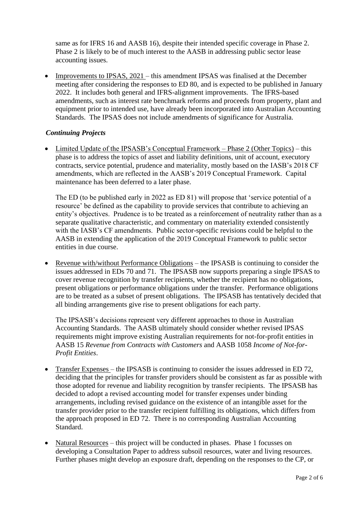same as for IFRS 16 and AASB 16), despite their intended specific coverage in Phase 2. Phase 2 is likely to be of much interest to the AASB in addressing public sector lease accounting issues.

• Improvements to IPSAS, 2021 – this amendment IPSAS was finalised at the December meeting after considering the responses to ED 80, and is expected to be published in January 2022. It includes both general and IFRS-alignment improvements. The IFRS-based amendments, such as interest rate benchmark reforms and proceeds from property, plant and equipment prior to intended use, have already been incorporated into Australian Accounting Standards. The IPSAS does not include amendments of significance for Australia.

#### *Continuing Projects*

• Limited Update of the IPSASB's Conceptual Framework – Phase 2 (Other Topics) – this phase is to address the topics of asset and liability definitions, unit of account, executory contracts, service potential, prudence and materiality, mostly based on the IASB's 2018 CF amendments, which are reflected in the AASB's 2019 Conceptual Framework. Capital maintenance has been deferred to a later phase.

The ED (to be published early in 2022 as ED 81) will propose that 'service potential of a resource' be defined as the capability to provide services that contribute to achieving an entity's objectives. Prudence is to be treated as a reinforcement of neutrality rather than as a separate qualitative characteristic, and commentary on materiality extended consistently with the IASB's CF amendments. Public sector-specific revisions could be helpful to the AASB in extending the application of the 2019 Conceptual Framework to public sector entities in due course.

• Revenue with/without Performance Obligations – the IPSASB is continuing to consider the issues addressed in EDs 70 and 71. The IPSASB now supports preparing a single IPSAS to cover revenue recognition by transfer recipients, whether the recipient has no obligations, present obligations or performance obligations under the transfer. Performance obligations are to be treated as a subset of present obligations. The IPSASB has tentatively decided that all binding arrangements give rise to present obligations for each party.

The IPSASB's decisions represent very different approaches to those in Australian Accounting Standards. The AASB ultimately should consider whether revised IPSAS requirements might improve existing Australian requirements for not-for-profit entities in AASB 15 *Revenue from Contracts with Customers* and AASB 1058 *Income of Not-for-Profit Entities*.

- Transfer Expenses the IPSASB is continuing to consider the issues addressed in ED 72, deciding that the principles for transfer providers should be consistent as far as possible with those adopted for revenue and liability recognition by transfer recipients. The IPSASB has decided to adopt a revised accounting model for transfer expenses under binding arrangements, including revised guidance on the existence of an intangible asset for the transfer provider prior to the transfer recipient fulfilling its obligations, which differs from the approach proposed in ED 72. There is no corresponding Australian Accounting Standard.
- Natural Resources this project will be conducted in phases. Phase 1 focusses on developing a Consultation Paper to address subsoil resources, water and living resources. Further phases might develop an exposure draft, depending on the responses to the CP, or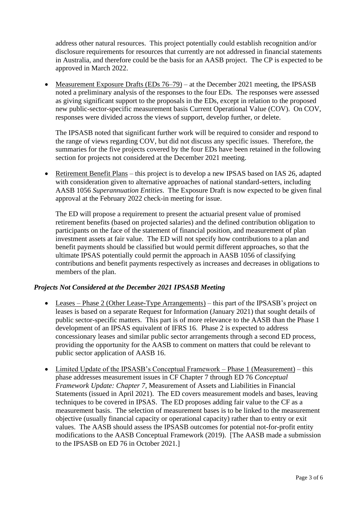address other natural resources. This project potentially could establish recognition and/or disclosure requirements for resources that currently are not addressed in financial statements in Australia, and therefore could be the basis for an AASB project. The CP is expected to be approved in March 2022.

• Measurement Exposure Drafts (EDs  $76-79$ ) – at the December 2021 meeting, the IPSASB noted a preliminary analysis of the responses to the four EDs. The responses were assessed as giving significant support to the proposals in the EDs, except in relation to the proposed new public-sector-specific measurement basis Current Operational Value (COV). On COV, responses were divided across the views of support, develop further, or delete.

The IPSASB noted that significant further work will be required to consider and respond to the range of views regarding COV, but did not discuss any specific issues. Therefore, the summaries for the five projects covered by the four EDs have been retained in the following section for projects not considered at the December 2021 meeting.

• Retirement Benefit Plans – this project is to develop a new IPSAS based on IAS 26, adapted with consideration given to alternative approaches of national standard-setters, including AASB 1056 *Superannuation Entities*. The Exposure Draft is now expected to be given final approval at the February 2022 check-in meeting for issue.

The ED will propose a requirement to present the actuarial present value of promised retirement benefits (based on projected salaries) and the defined contribution obligation to participants on the face of the statement of financial position, and measurement of plan investment assets at fair value. The ED will not specify how contributions to a plan and benefit payments should be classified but would permit different approaches, so that the ultimate IPSAS potentially could permit the approach in AASB 1056 of classifying contributions and benefit payments respectively as increases and decreases in obligations to members of the plan.

#### *Projects Not Considered at the December 2021 IPSASB Meeting*

- Leases Phase 2 (Other Lease-Type Arrangements) this part of the IPSASB's project on leases is based on a separate Request for Information (January 2021) that sought details of public sector-specific matters. This part is of more relevance to the AASB than the Phase 1 development of an IPSAS equivalent of IFRS 16. Phase 2 is expected to address concessionary leases and similar public sector arrangements through a second ED process, providing the opportunity for the AASB to comment on matters that could be relevant to public sector application of AASB 16.
- Limited Update of the IPSASB's Conceptual Framework Phase 1 (Measurement) this phase addresses measurement issues in CF Chapter 7 through ED 76 *Conceptual Framework Update: Chapter 7,* Measurement of Assets and Liabilities in Financial Statements (issued in April 2021). The ED covers measurement models and bases, leaving techniques to be covered in IPSAS. The ED proposes adding fair value to the CF as a measurement basis. The selection of measurement bases is to be linked to the measurement objective (usually financial capacity or operational capacity) rather than to entry or exit values. The AASB should assess the IPSASB outcomes for potential not-for-profit entity modifications to the AASB Conceptual Framework (2019). [The AASB made a submission to the IPSASB on ED 76 in October 2021.]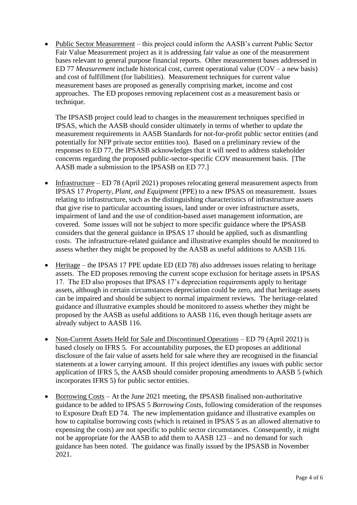• Public Sector Measurement – this project could inform the AASB's current Public Sector Fair Value Measurement project as it is addressing fair value as one of the measurement bases relevant to general purpose financial reports. Other measurement bases addressed in ED 77 *Measurement* include historical cost, current operational value (COV – a new basis) and cost of fulfillment (for liabilities). Measurement techniques for current value measurement bases are proposed as generally comprising market, income and cost approaches. The ED proposes removing replacement cost as a measurement basis or technique.

The IPSASB project could lead to changes in the measurement techniques specified in IPSAS, which the AASB should consider ultimately in terms of whether to update the measurement requirements in AASB Standards for not-for-profit public sector entities (and potentially for NFP private sector entities too). Based on a preliminary review of the responses to ED 77, the IPSASB acknowledges that it will need to address stakeholder concerns regarding the proposed public-sector-specific COV measurement basis. [The AASB made a submission to the IPSASB on ED 77.]

- Infrastructure ED 78 (April 2021) proposes relocating general measurement aspects from IPSAS 17 *Property, Plant, and Equipment* (PPE) to a new IPSAS on measurement. Issues relating to infrastructure, such as the distinguishing characteristics of infrastructure assets that give rise to particular accounting issues, land under or over infrastructure assets, impairment of land and the use of condition-based asset management information, are covered. Some issues will not be subject to more specific guidance where the IPSASB considers that the general guidance in IPSAS 17 should be applied, such as dismantling costs. The infrastructure-related guidance and illustrative examples should be monitored to assess whether they might be proposed by the AASB as useful additions to AASB 116.
- Heritage the IPSAS 17 PPE update ED (ED 78) also addresses issues relating to heritage assets. The ED proposes removing the current scope exclusion for heritage assets in IPSAS 17. The ED also proposes that IPSAS 17's depreciation requirements apply to heritage assets, although in certain circumstances depreciation could be zero, and that heritage assets can be impaired and should be subject to normal impairment reviews. The heritage-related guidance and illustrative examples should be monitored to assess whether they might be proposed by the AASB as useful additions to AASB 116, even though heritage assets are already subject to AASB 116.
- Non-Current Assets Held for Sale and Discontinued Operations ED 79 (April 2021) is based closely on IFRS 5. For accountability purposes, the ED proposes an additional disclosure of the fair value of assets held for sale where they are recognised in the financial statements at a lower carrying amount. If this project identifies any issues with public sector application of IFRS 5, the AASB should consider proposing amendments to AASB 5 (which incorporates IFRS 5) for public sector entities.
- Borrowing Costs At the June 2021 meeting, the IPSASB finalised non-authoritative guidance to be added to IPSAS 5 *Borrowing Costs*, following consideration of the responses to Exposure Draft ED 74. The new implementation guidance and illustrative examples on how to capitalise borrowing costs (which is retained in IPSAS 5 as an allowed alternative to expensing the costs) are not specific to public sector circumstances. Consequently, it might not be appropriate for the AASB to add them to AASB 123 – and no demand for such guidance has been noted. The guidance was finally issued by the IPSASB in November 2021.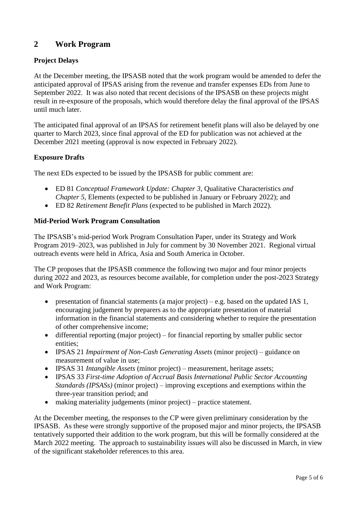# **2 Work Program**

#### **Project Delays**

At the December meeting, the IPSASB noted that the work program would be amended to defer the anticipated approval of IPSAS arising from the revenue and transfer expenses EDs from June to September 2022. It was also noted that recent decisions of the IPSASB on these projects might result in re-exposure of the proposals, which would therefore delay the final approval of the IPSAS until much later.

The anticipated final approval of an IPSAS for retirement benefit plans will also be delayed by one quarter to March 2023, since final approval of the ED for publication was not achieved at the December 2021 meeting (approval is now expected in February 2022).

#### **Exposure Drafts**

The next EDs expected to be issued by the IPSASB for public comment are:

- ED 81 *Conceptual Framework Update: Chapter 3,* Qualitative Characteristics *and Chapter 5,* Elements (expected to be published in January or February 2022); and
- ED 82 *Retirement Benefit Plans* (expected to be published in March 2022).

#### **Mid-Period Work Program Consultation**

The IPSASB's mid-period Work Program Consultation Paper, under its Strategy and Work Program 2019–2023, was published in July for comment by 30 November 2021. Regional virtual outreach events were held in Africa, Asia and South America in October.

The CP proposes that the IPSASB commence the following two major and four minor projects during 2022 and 2023, as resources become available, for completion under the post-2023 Strategy and Work Program:

- presentation of financial statements (a major project) e.g. based on the updated IAS 1, encouraging judgement by preparers as to the appropriate presentation of material information in the financial statements and considering whether to require the presentation of other comprehensive income;
- differential reporting (major project) for financial reporting by smaller public sector entities;
- IPSAS 21 *Impairment of Non-Cash Generating Assets* (minor project) guidance on measurement of value in use;
- IPSAS 31 *Intangible Assets* (minor project) measurement, heritage assets;
- IPSAS 33 *First-time Adoption of Accrual Basis International Public Sector Accounting Standards (IPSASs)* (minor project) – improving exceptions and exemptions within the three-year transition period; and
- making materiality judgements (minor project) practice statement.

At the December meeting, the responses to the CP were given preliminary consideration by the IPSASB. As these were strongly supportive of the proposed major and minor projects, the IPSASB tentatively supported their addition to the work program, but this will be formally considered at the March 2022 meeting. The approach to sustainability issues will also be discussed in March, in view of the significant stakeholder references to this area.